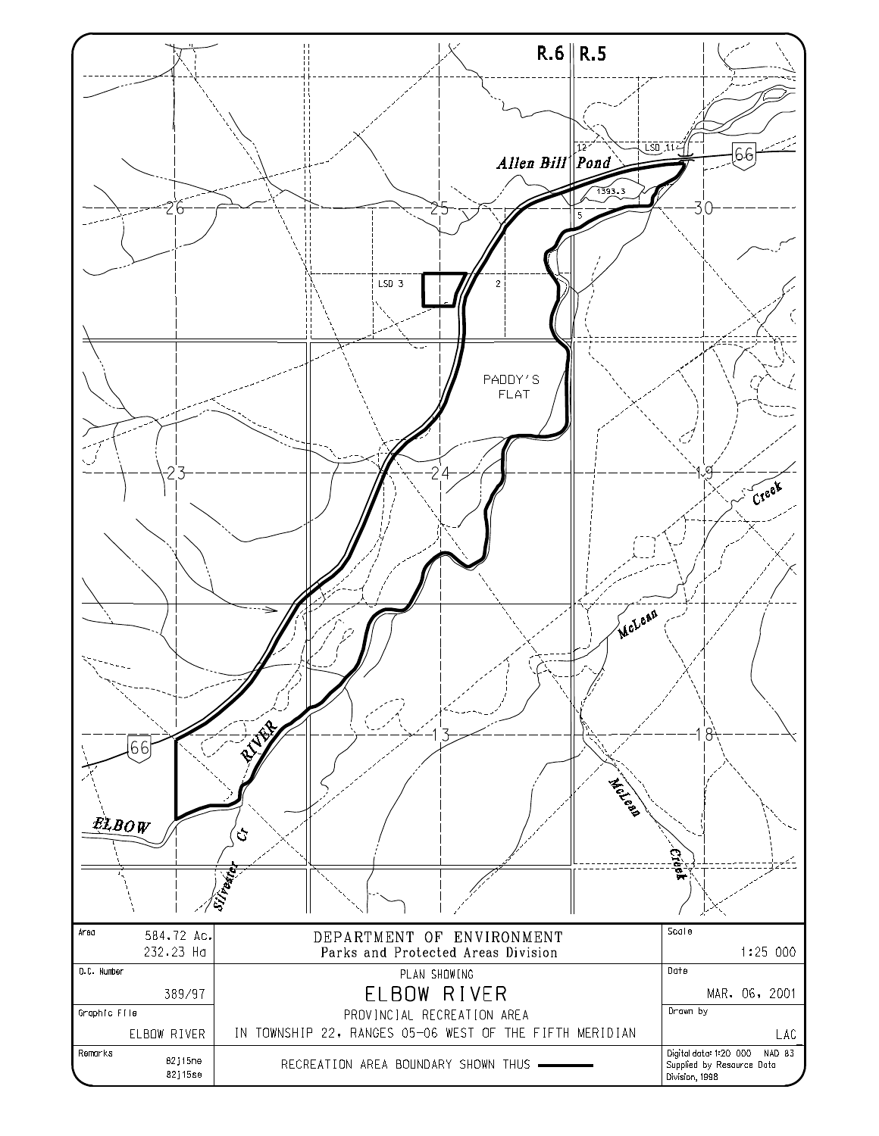